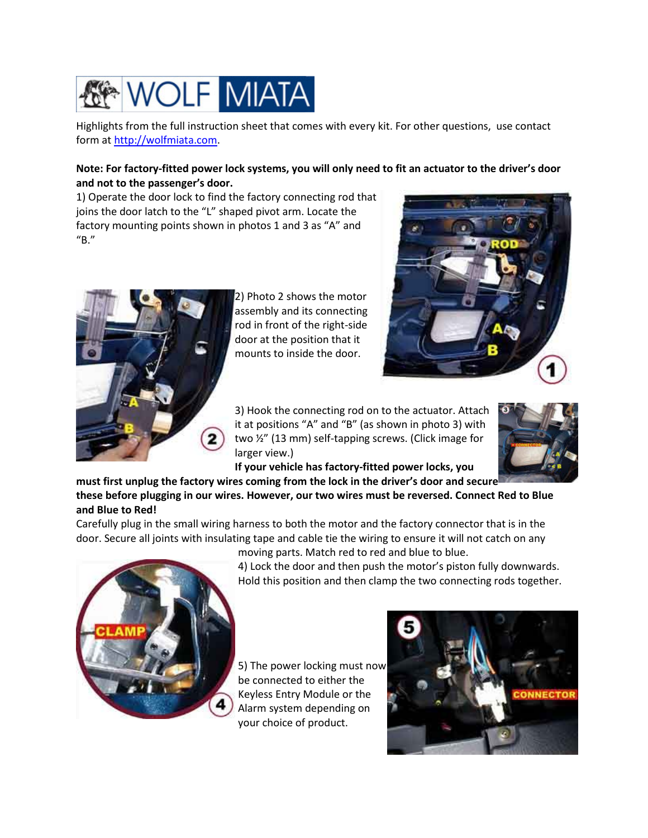

Highlights from the full instruction sheet that comes with every kit. For other questions, use contact form a[t http://wolfmiata.com.](http://wolfmiata.com/)

## **Note: For factory-fitted power lock systems, you will only need to fit an actuator to the driver's door and not to the passenger's door.**

1) Operate the door lock to find the factory connecting rod that joins the door latch to the "L" shaped pivot arm. Locate the factory mounting points shown in photos 1 and 3 as "A" and "B."



2) Photo 2 shows the motor assembly and its connecting rod in front of the right-side door at the position that it mounts to inside the door.



3) Hook the connecting rod on to the actuator. Attach it at positions "A" and "B" (as shown in photo 3) with two ½" (13 mm) self-tapping screws. (Click image for larger view.)



**If your vehicle has factory-fitted power locks, you** 

**must first unplug the factory wires coming from the lock in the driver's door and secur[e](http://wolfmiata.com/images/lockinstall2.jpg)  these before plugging in our wires. However, our two wires must be reversed. Connect Red to Blue and Blue to Red!** 

Carefully plug in the small wiring harness to both the motor and the factory connector that is in the door. Secure all joints with insulating tape and cable tie the wiring to ensure it will not catch on any



moving parts. Match red to red and blue to blue. 4) Lock the door and then push the motor's piston fully downwards. Hold this position and then clamp the two connecting rods together.

5) The power locking must now be connected to either the Keyless Entry Module or the Alarm system depending on your choice of product.